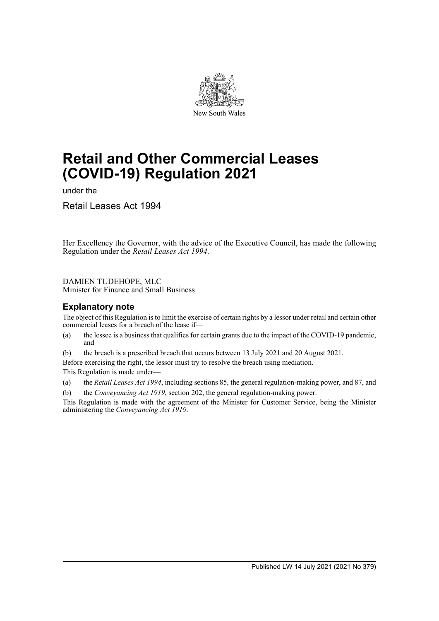

# **Retail and Other Commercial Leases (COVID-19) Regulation 2021**

under the

Retail Leases Act 1994

Her Excellency the Governor, with the advice of the Executive Council, has made the following Regulation under the *Retail Leases Act 1994*.

## DAMIEN TUDEHOPE, MLC

Minister for Finance and Small Business

# **Explanatory note**

The object of this Regulation is to limit the exercise of certain rights by a lessor under retail and certain other commercial leases for a breach of the lease if—

- (a) the lessee is a business that qualifies for certain grants due to the impact of the COVID-19 pandemic, and
- (b) the breach is a prescribed breach that occurs between 13 July 2021 and 20 August 2021.

Before exercising the right, the lessor must try to resolve the breach using mediation.

This Regulation is made under—

(a) the *Retail Leases Act 1994*, including sections 85, the general regulation-making power, and 87, and

(b) the *Conveyancing Act 1919*, section 202, the general regulation-making power.

This Regulation is made with the agreement of the Minister for Customer Service, being the Minister administering the *Conveyancing Act 1919*.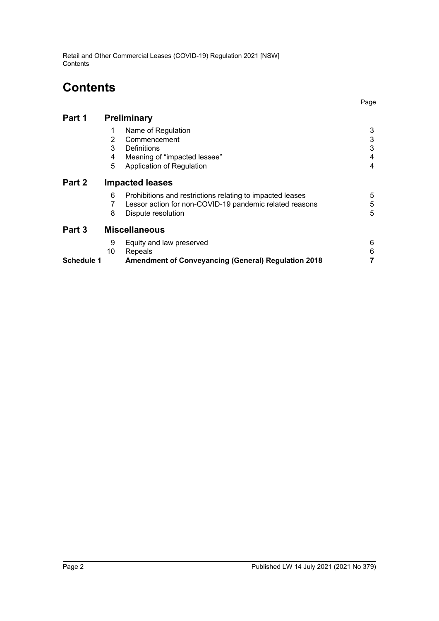# **Contents**

Page

| Part 1            | <b>Preliminary</b>     |                                                            |   |
|-------------------|------------------------|------------------------------------------------------------|---|
|                   | 1                      | Name of Regulation                                         | 3 |
|                   | 2                      | Commencement                                               | 3 |
|                   | 3                      | Definitions                                                | 3 |
|                   | 4                      | Meaning of "impacted lessee"                               | 4 |
|                   | 5                      | Application of Regulation                                  | 4 |
| Part 2            | <b>Impacted leases</b> |                                                            |   |
|                   | 6                      | Prohibitions and restrictions relating to impacted leases  | 5 |
|                   |                        | Lessor action for non-COVID-19 pandemic related reasons    | 5 |
|                   | 8                      | Dispute resolution                                         | 5 |
| Part 3            | <b>Miscellaneous</b>   |                                                            |   |
|                   | 9                      | Equity and law preserved                                   | 6 |
|                   | 10                     | Repeals                                                    | 6 |
| <b>Schedule 1</b> |                        | <b>Amendment of Conveyancing (General) Regulation 2018</b> |   |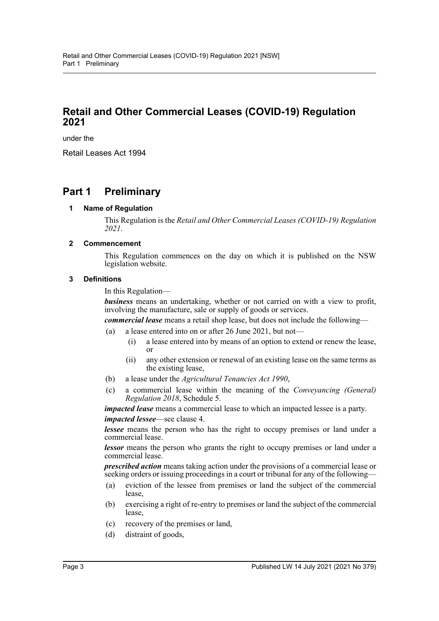# **Retail and Other Commercial Leases (COVID-19) Regulation 2021**

under the

Retail Leases Act 1994

# <span id="page-2-1"></span><span id="page-2-0"></span>**Part 1 Preliminary**

## **1 Name of Regulation**

This Regulation is the *Retail and Other Commercial Leases (COVID-19) Regulation 2021*.

## <span id="page-2-2"></span>**2 Commencement**

This Regulation commences on the day on which it is published on the NSW legislation website.

## <span id="page-2-3"></span>**3 Definitions**

In this Regulation—

*business* means an undertaking, whether or not carried on with a view to profit, involving the manufacture, sale or supply of goods or services.

*commercial lease* means a retail shop lease, but does not include the following—

- (a) a lease entered into on or after 26 June 2021, but not—
	- (i) a lease entered into by means of an option to extend or renew the lease, or
	- (ii) any other extension or renewal of an existing lease on the same terms as the existing lease,
- (b) a lease under the *Agricultural Tenancies Act 1990*,
- (c) a commercial lease within the meaning of the *Conveyancing (General) Regulation 2018*, Schedule 5.

*impacted lease* means a commercial lease to which an impacted lessee is a party. *impacted lessee*—see clause 4.

*lessee* means the person who has the right to occupy premises or land under a commercial lease.

*lessor* means the person who grants the right to occupy premises or land under a commercial lease.

*prescribed action* means taking action under the provisions of a commercial lease or seeking orders or issuing proceedings in a court or tribunal for any of the following—

- (a) eviction of the lessee from premises or land the subject of the commercial lease,
- (b) exercising a right of re-entry to premises or land the subject of the commercial lease,
- (c) recovery of the premises or land,
- (d) distraint of goods,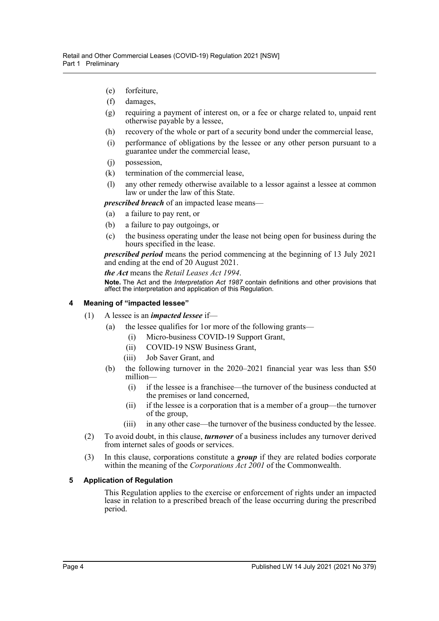- (e) forfeiture,
- (f) damages,
- (g) requiring a payment of interest on, or a fee or charge related to, unpaid rent otherwise payable by a lessee,
- (h) recovery of the whole or part of a security bond under the commercial lease,
- (i) performance of obligations by the lessee or any other person pursuant to a guarantee under the commercial lease,
- (j) possession,
- (k) termination of the commercial lease,
- (l) any other remedy otherwise available to a lessor against a lessee at common law or under the law of this State.

*prescribed breach* of an impacted lease means—

- (a) a failure to pay rent, or
- (b) a failure to pay outgoings, or
- (c) the business operating under the lease not being open for business during the hours specified in the lease.

*prescribed period* means the period commencing at the beginning of 13 July 2021 and ending at the end of 20 August 2021.

*the Act* means the *Retail Leases Act 1994*.

**Note.** The Act and the *Interpretation Act 1987* contain definitions and other provisions that affect the interpretation and application of this Regulation.

#### <span id="page-3-0"></span>**4 Meaning of "impacted lessee"**

- (1) A lessee is an *impacted lessee* if—
	- (a) the lessee qualifies for 1or more of the following grants—
		- (i) Micro-business COVID-19 Support Grant,
		- (ii) COVID-19 NSW Business Grant,
		- (iii) Job Saver Grant, and
	- (b) the following turnover in the 2020–2021 financial year was less than \$50 million—
		- (i) if the lessee is a franchisee—the turnover of the business conducted at the premises or land concerned,
		- (ii) if the lessee is a corporation that is a member of a group—the turnover of the group,
		- (iii) in any other case—the turnover of the business conducted by the lessee.
- (2) To avoid doubt, in this clause, *turnover* of a business includes any turnover derived from internet sales of goods or services.
- (3) In this clause, corporations constitute a *group* if they are related bodies corporate within the meaning of the *Corporations Act 2001* of the Commonwealth.

#### <span id="page-3-1"></span>**5 Application of Regulation**

This Regulation applies to the exercise or enforcement of rights under an impacted lease in relation to a prescribed breach of the lease occurring during the prescribed period.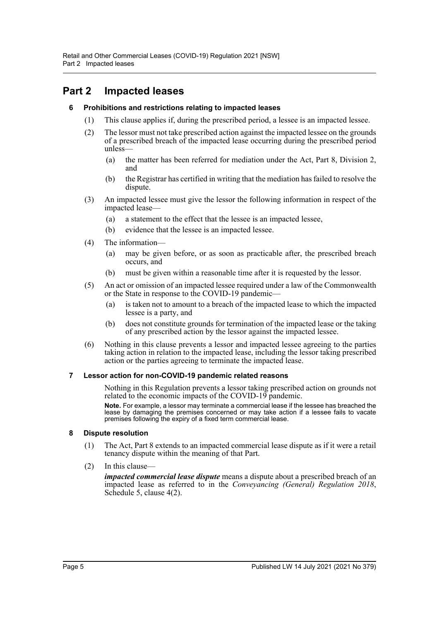# <span id="page-4-1"></span><span id="page-4-0"></span>**Part 2 Impacted leases**

## **6 Prohibitions and restrictions relating to impacted leases**

- (1) This clause applies if, during the prescribed period, a lessee is an impacted lessee.
- (2) The lessor must not take prescribed action against the impacted lessee on the grounds of a prescribed breach of the impacted lease occurring during the prescribed period unless—
	- (a) the matter has been referred for mediation under the Act, Part 8, Division 2, and
	- (b) the Registrar has certified in writing that the mediation has failed to resolve the dispute.
- (3) An impacted lessee must give the lessor the following information in respect of the impacted lease—
	- (a) a statement to the effect that the lessee is an impacted lessee,
	- (b) evidence that the lessee is an impacted lessee.
- (4) The information—
	- (a) may be given before, or as soon as practicable after, the prescribed breach occurs, and
	- (b) must be given within a reasonable time after it is requested by the lessor.
- (5) An act or omission of an impacted lessee required under a law of the Commonwealth or the State in response to the COVID-19 pandemic—
	- (a) is taken not to amount to a breach of the impacted lease to which the impacted lessee is a party, and
	- (b) does not constitute grounds for termination of the impacted lease or the taking of any prescribed action by the lessor against the impacted lessee.
- (6) Nothing in this clause prevents a lessor and impacted lessee agreeing to the parties taking action in relation to the impacted lease, including the lessor taking prescribed action or the parties agreeing to terminate the impacted lease.

### <span id="page-4-2"></span>**7 Lessor action for non-COVID-19 pandemic related reasons**

Nothing in this Regulation prevents a lessor taking prescribed action on grounds not related to the economic impacts of the COVID-19 pandemic.

**Note.** For example, a lessor may terminate a commercial lease if the lessee has breached the lease by damaging the premises concerned or may take action if a lessee fails to vacate premises following the expiry of a fixed term commercial lease.

#### <span id="page-4-3"></span>**8 Dispute resolution**

- (1) The Act, Part 8 extends to an impacted commercial lease dispute as if it were a retail tenancy dispute within the meaning of that Part.
- (2) In this clause—

*impacted commercial lease dispute* means a dispute about a prescribed breach of an impacted lease as referred to in the *Conveyancing (General) Regulation 2018*, Schedule 5, clause 4(2).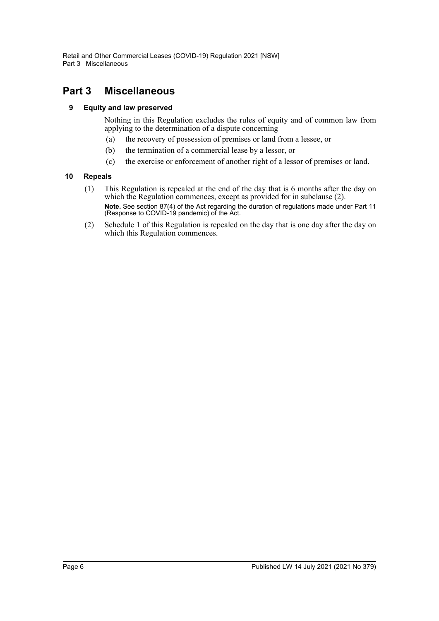# <span id="page-5-1"></span><span id="page-5-0"></span>**Part 3 Miscellaneous**

# **9 Equity and law preserved**

Nothing in this Regulation excludes the rules of equity and of common law from applying to the determination of a dispute concerning—

- (a) the recovery of possession of premises or land from a lessee, or
- (b) the termination of a commercial lease by a lessor, or
- (c) the exercise or enforcement of another right of a lessor of premises or land.

# <span id="page-5-2"></span>**10 Repeals**

- (1) This Regulation is repealed at the end of the day that is 6 months after the day on which the Regulation commences, except as provided for in subclause (2). **Note.** See section 87(4) of the Act regarding the duration of regulations made under Part 11 (Response to COVID-19 pandemic) of the Act.
- (2) Schedule 1 of this Regulation is repealed on the day that is one day after the day on which this Regulation commences.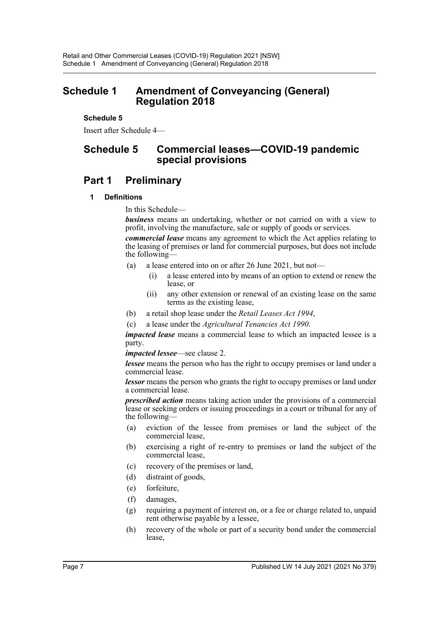# <span id="page-6-0"></span>**Schedule 1 Amendment of Conveyancing (General) Regulation 2018**

## **Schedule 5**

Insert after Schedule 4—

# **Schedule 5 Commercial leases—COVID-19 pandemic special provisions**

# **Part 1 Preliminary**

## **1 Definitions**

In this Schedule—

*business* means an undertaking, whether or not carried on with a view to profit, involving the manufacture, sale or supply of goods or services.

*commercial lease* means any agreement to which the Act applies relating to the leasing of premises or land for commercial purposes, but does not include the following—

- (a) a lease entered into on or after 26 June 2021, but not—
	- (i) a lease entered into by means of an option to extend or renew the lease, or
	- (ii) any other extension or renewal of an existing lease on the same terms as the existing lease,
- (b) a retail shop lease under the *Retail Leases Act 1994*,
- (c) a lease under the *Agricultural Tenancies Act 1990*.

*impacted lease* means a commercial lease to which an impacted lessee is a party.

*impacted lessee*—see clause 2.

*lessee* means the person who has the right to occupy premises or land under a commercial lease.

*lessor* means the person who grants the right to occupy premises or land under a commercial lease.

*prescribed action* means taking action under the provisions of a commercial lease or seeking orders or issuing proceedings in a court or tribunal for any of the following—

- (a) eviction of the lessee from premises or land the subject of the commercial lease,
- (b) exercising a right of re-entry to premises or land the subject of the commercial lease,
- (c) recovery of the premises or land,
- (d) distraint of goods,
- (e) forfeiture,
- (f) damages,
- (g) requiring a payment of interest on, or a fee or charge related to, unpaid rent otherwise payable by a lessee,
- (h) recovery of the whole or part of a security bond under the commercial lease,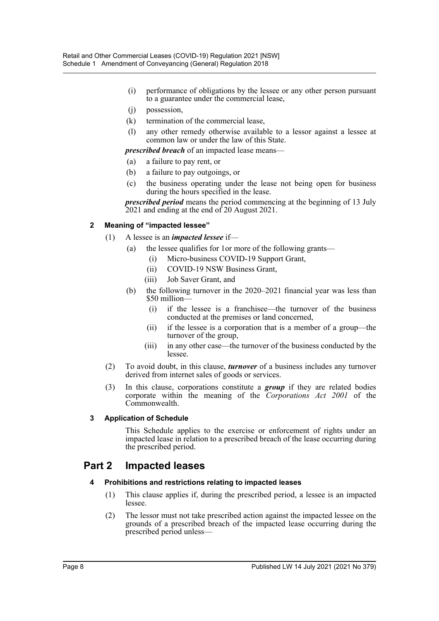- (i) performance of obligations by the lessee or any other person pursuant to a guarantee under the commercial lease,
- (j) possession,
- (k) termination of the commercial lease,
- (l) any other remedy otherwise available to a lessor against a lessee at common law or under the law of this State.

*prescribed breach* of an impacted lease means—

- (a) a failure to pay rent, or
- (b) a failure to pay outgoings, or
- (c) the business operating under the lease not being open for business during the hours specified in the lease.

*prescribed period* means the period commencing at the beginning of 13 July 2021 and ending at the end of 20 August 2021.

## **2 Meaning of "impacted lessee"**

## (1) A lessee is an *impacted lessee* if—

- (a) the lessee qualifies for 1or more of the following grants—
	- (i) Micro-business COVID-19 Support Grant,
	- (ii) COVID-19 NSW Business Grant,
	- (iii) Job Saver Grant, and
- (b) the following turnover in the 2020–2021 financial year was less than \$50 million—
	- (i) if the lessee is a franchisee—the turnover of the business conducted at the premises or land concerned,
	- (ii) if the lessee is a corporation that is a member of a group—the turnover of the group,
	- (iii) in any other case—the turnover of the business conducted by the lessee.
- (2) To avoid doubt, in this clause, *turnover* of a business includes any turnover derived from internet sales of goods or services.
- (3) In this clause, corporations constitute a *group* if they are related bodies corporate within the meaning of the *Corporations Act 2001* of the Commonwealth.

#### **3 Application of Schedule**

This Schedule applies to the exercise or enforcement of rights under an impacted lease in relation to a prescribed breach of the lease occurring during the prescribed period.

# **Part 2 Impacted leases**

#### **4 Prohibitions and restrictions relating to impacted leases**

- (1) This clause applies if, during the prescribed period, a lessee is an impacted lessee.
- (2) The lessor must not take prescribed action against the impacted lessee on the grounds of a prescribed breach of the impacted lease occurring during the prescribed period unless—